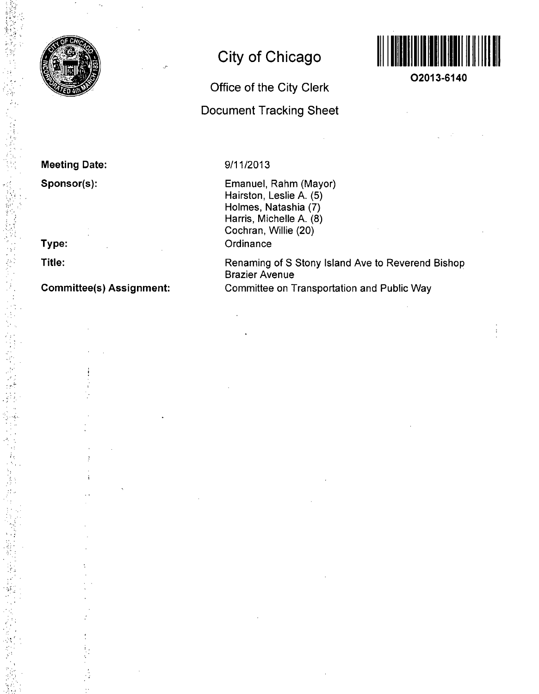

**Meeting Date:** 

**Sponsor(s):** 

**Type:** 

**Title:** 

### **Commlttee(s) Assignment:**

# **City of Chicago**

# **Office of the City Clerk Document Tracking Sheet**



**02013-6140** 

**9/11/2013** 

Emanuel, Rahm (Mayor) Hairston, Leslie A. (5) Holmes, Natashia (7) Harris, Michelle A. (8) Cochran, Willie (20) **Ordinance** 

Renaming of S Stony Island Ave to Reverend Bishop Brazier Avenue Committee on Transportation and Public Way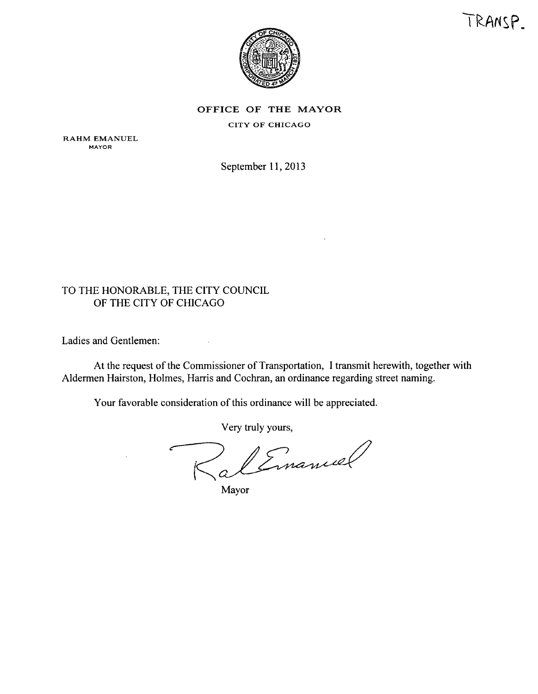



OFFICE OF THE MAYOR

CITY OF CHICAGO

RAHM EMANUEL MAYOR

September 11, 2013

#### TO THE HONORABLE, THE CITY COUNCIL OF THE CITY OF CHICAGO

Ladies and Gentlemen:

At the request of the Commissioner of Transportation, I transmit herewith, together with Aldermen Hairston, Holmes, Harris and Cochran, an ordinance regarding street naming.

Your favorable consideration of this ordinance will be appreciated.

 $\bar{z}$ 

Very truly yours.

RalEmanuel

Mayor